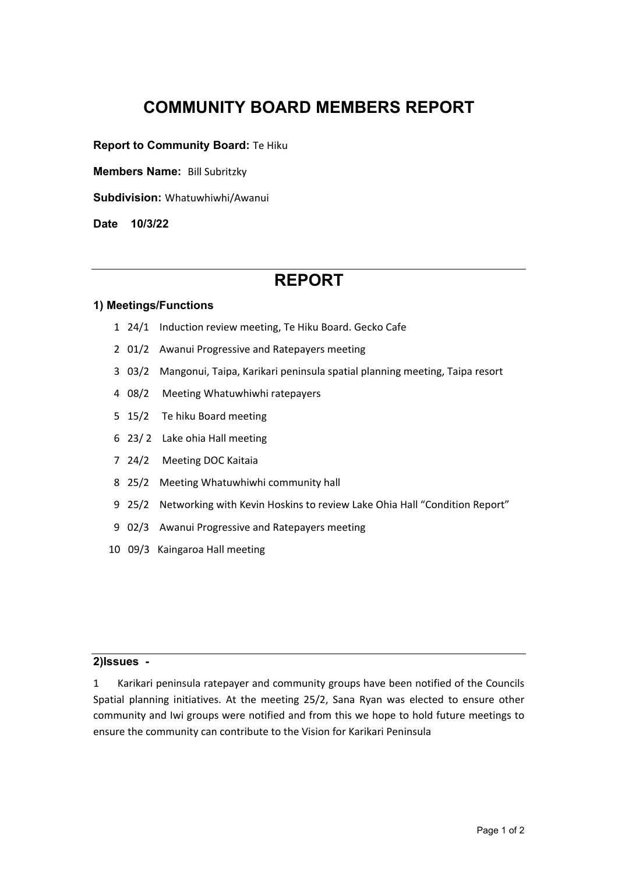# **COMMUNITY BOARD MEMBERS REPORT**

**Report to Community Board: Te Hiku** 

**Members Name:** Bill Subritzky

**Subdivision:** Whatuwhiwhi/Awanui

**Date 10/3/22** 

## **REPORT**

#### **1) Meetings/Functions**

- 1 24/1 Induction review meeting, Te Hiku Board. Gecko Cafe
- 2 01/2 Awanui Progressive and Ratepayers meeting
- 3 03/2 Mangonui, Taipa, Karikari peninsula spatial planning meeting, Taipa resort
- 4 08/2 Meeting Whatuwhiwhi ratepayers
- 5 15/2 Te hiku Board meeting
- 6 23/ 2 Lake ohia Hall meeting
- 7 24/2 Meeting DOC Kaitaia
- 8 25/2 Meeting Whatuwhiwhi community hall
- 9 25/2 Networking with Kevin Hoskins to review Lake Ohia Hall "Condition Report"
- 9 02/3 Awanui Progressive and Ratepayers meeting
- 10 09/3 Kaingaroa Hall meeting

#### **2)Issues -**

1 Karikari peninsula ratepayer and community groups have been notified of the Councils Spatial planning initiatives. At the meeting 25/2, Sana Ryan was elected to ensure other community and Iwi groups were notified and from this we hope to hold future meetings to ensure the community can contribute to the Vision for Karikari Peninsula